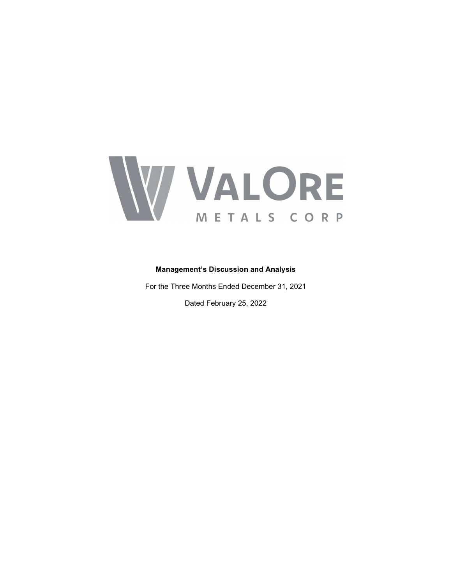

## Management's Discussion and Analysis

For the Three Months Ended December 31, 2021 Dated February 25, 2022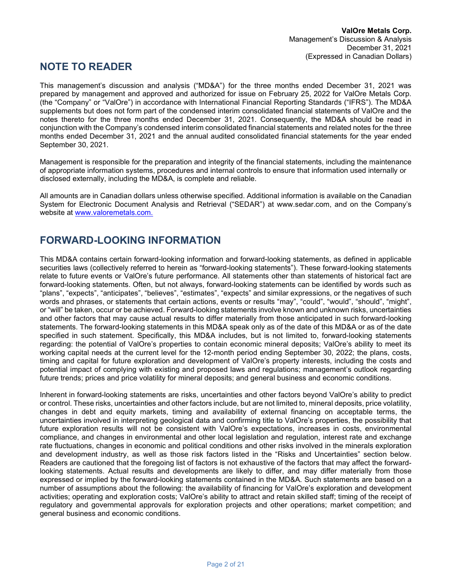# NOTE TO READER

This management's discussion and analysis ("MD&A") for the three months ended December 31, 2021 was prepared by management and approved and authorized for issue on February 25, 2022 for ValOre Metals Corp. (the "Company" or "ValOre") in accordance with International Financial Reporting Standards ("IFRS"). The MD&A supplements but does not form part of the condensed interim consolidated financial statements of ValOre and the notes thereto for the three months ended December 31, 2021. Consequently, the MD&A should be read in conjunction with the Company's condensed interim consolidated financial statements and related notes for the three months ended December 31, 2021 and the annual audited consolidated financial statements for the year ended September 30, 2021.

Management is responsible for the preparation and integrity of the financial statements, including the maintenance of appropriate information systems, procedures and internal controls to ensure that information used internally or disclosed externally, including the MD&A, is complete and reliable.

All amounts are in Canadian dollars unless otherwise specified. Additional information is available on the Canadian System for Electronic Document Analysis and Retrieval ("SEDAR") at www.sedar.com, and on the Company's website at www.valoremetals.com.

# FORWARD-LOOKING INFORMATION

This MD&A contains certain forward-looking information and forward-looking statements, as defined in applicable securities laws (collectively referred to herein as "forward-looking statements"). These forward-looking statements relate to future events or ValOre's future performance. All statements other than statements of historical fact are forward-looking statements. Often, but not always, forward-looking statements can be identified by words such as "plans", "expects", "anticipates", "believes", "estimates", "expects" and similar expressions, or the negatives of such words and phrases, or statements that certain actions, events or results "may", "could", "would", "should", "might", or "will" be taken, occur or be achieved. Forward-looking statements involve known and unknown risks, uncertainties and other factors that may cause actual results to differ materially from those anticipated in such forward-looking statements. The forward-looking statements in this MD&A speak only as of the date of this MD&A or as of the date specified in such statement. Specifically, this MD&A includes, but is not limited to, forward-looking statements regarding: the potential of ValOre's properties to contain economic mineral deposits; ValOre's ability to meet its working capital needs at the current level for the 12-month period ending September 30, 2022; the plans, costs, timing and capital for future exploration and development of ValOre's property interests, including the costs and potential impact of complying with existing and proposed laws and regulations; management's outlook regarding future trends; prices and price volatility for mineral deposits; and general business and economic conditions.

Inherent in forward-looking statements are risks, uncertainties and other factors beyond ValOre's ability to predict or control. These risks, uncertainties and other factors include, but are not limited to, mineral deposits, price volatility, changes in debt and equity markets, timing and availability of external financing on acceptable terms, the uncertainties involved in interpreting geological data and confirming title to ValOre's properties, the possibility that future exploration results will not be consistent with ValOre's expectations, increases in costs, environmental compliance, and changes in environmental and other local legislation and regulation, interest rate and exchange rate fluctuations, changes in economic and political conditions and other risks involved in the minerals exploration and development industry, as well as those risk factors listed in the "Risks and Uncertainties" section below. Readers are cautioned that the foregoing list of factors is not exhaustive of the factors that may affect the forwardlooking statements. Actual results and developments are likely to differ, and may differ materially from those expressed or implied by the forward-looking statements contained in the MD&A. Such statements are based on a number of assumptions about the following: the availability of financing for ValOre's exploration and development activities; operating and exploration costs; ValOre's ability to attract and retain skilled staff; timing of the receipt of regulatory and governmental approvals for exploration projects and other operations; market competition; and general business and economic conditions.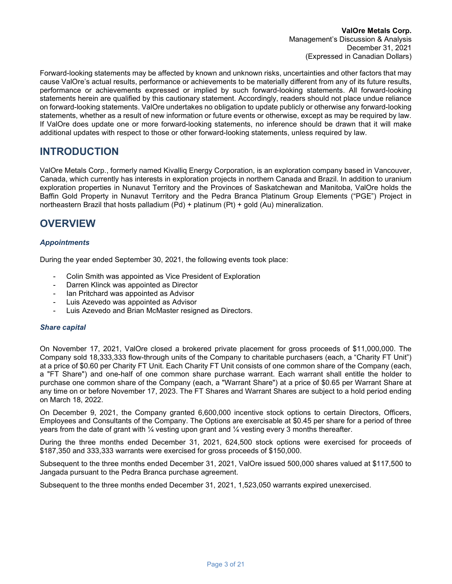Forward-looking statements may be affected by known and unknown risks, uncertainties and other factors that may cause ValOre's actual results, performance or achievements to be materially different from any of its future results, performance or achievements expressed or implied by such forward-looking statements. All forward-looking statements herein are qualified by this cautionary statement. Accordingly, readers should not place undue reliance on forward-looking statements. ValOre undertakes no obligation to update publicly or otherwise any forward-looking statements, whether as a result of new information or future events or otherwise, except as may be required by law. If ValOre does update one or more forward-looking statements, no inference should be drawn that it will make additional updates with respect to those or other forward-looking statements, unless required by law.

# INTRODUCTION

ValOre Metals Corp., formerly named Kivalliq Energy Corporation, is an exploration company based in Vancouver, Canada, which currently has interests in exploration projects in northern Canada and Brazil. In addition to uranium exploration properties in Nunavut Territory and the Provinces of Saskatchewan and Manitoba, ValOre holds the Baffin Gold Property in Nunavut Territory and the Pedra Branca Platinum Group Elements ("PGE") Project in northeastern Brazil that hosts palladium (Pd) + platinum (Pt) + gold (Au) mineralization.

# **OVERVIEW**

## **Appointments**

During the year ended September 30, 2021, the following events took place:

- Colin Smith was appointed as Vice President of Exploration
- Darren Klinck was appointed as Director
- Ian Pritchard was appointed as Advisor
- Luis Azevedo was appointed as Advisor
- Luis Azevedo and Brian McMaster resigned as Directors.

## Share capital

On November 17, 2021, ValOre closed a brokered private placement for gross proceeds of \$11,000,000. The Company sold 18,333,333 flow-through units of the Company to charitable purchasers (each, a "Charity FT Unit") at a price of \$0.60 per Charity FT Unit. Each Charity FT Unit consists of one common share of the Company (each, a "FT Share") and one-half of one common share purchase warrant. Each warrant shall entitle the holder to purchase one common share of the Company (each, a "Warrant Share") at a price of \$0.65 per Warrant Share at any time on or before November 17, 2023. The FT Shares and Warrant Shares are subject to a hold period ending on March 18, 2022.

On December 9, 2021, the Company granted 6,600,000 incentive stock options to certain Directors, Officers, Employees and Consultants of the Company. The Options are exercisable at \$0.45 per share for a period of three years from the date of grant with  $\frac{1}{4}$  vesting upon grant and  $\frac{1}{4}$  vesting every 3 months thereafter.

During the three months ended December 31, 2021, 624,500 stock options were exercised for proceeds of \$187,350 and 333,333 warrants were exercised for gross proceeds of \$150,000.

Subsequent to the three months ended December 31, 2021, ValOre issued 500,000 shares valued at \$117,500 to Jangada pursuant to the Pedra Branca purchase agreement.

Subsequent to the three months ended December 31, 2021, 1,523,050 warrants expired unexercised.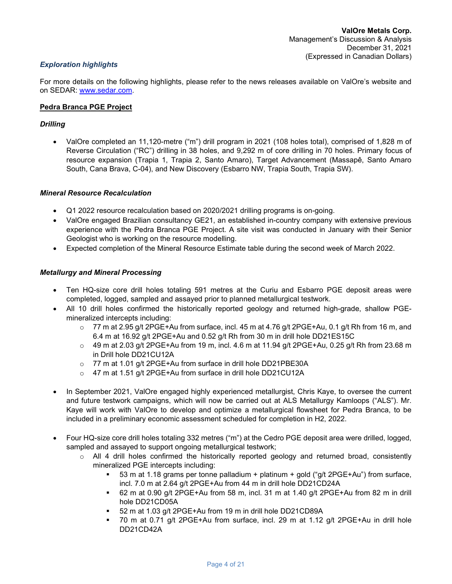## Exploration highlights

For more details on the following highlights, please refer to the news releases available on ValOre's website and on SEDAR: www.sedar.com.

#### Pedra Branca PGE Project

#### **Drilling**

 ValOre completed an 11,120-metre ("m") drill program in 2021 (108 holes total), comprised of 1,828 m of Reverse Circulation ("RC") drilling in 38 holes, and 9,292 m of core drilling in 70 holes. Primary focus of resource expansion (Trapia 1, Trapia 2, Santo Amaro), Target Advancement (Massapê, Santo Amaro South, Cana Brava, C-04), and New Discovery (Esbarro NW, Trapia South, Trapia SW).

#### Mineral Resource Recalculation

- Q1 2022 resource recalculation based on 2020/2021 drilling programs is on-going.
- ValOre engaged Brazilian consultancy GE21, an established in-country company with extensive previous experience with the Pedra Branca PGE Project. A site visit was conducted in January with their Senior Geologist who is working on the resource modelling.
- Expected completion of the Mineral Resource Estimate table during the second week of March 2022.

#### Metallurgy and Mineral Processing

- Ten HQ-size core drill holes totaling 591 metres at the Curiu and Esbarro PGE deposit areas were completed, logged, sampled and assayed prior to planned metallurgical testwork.
- All 10 drill holes confirmed the historically reported geology and returned high-grade, shallow PGEmineralized intercepts including:
	- $\circ$  77 m at 2.95 g/t 2PGE+Au from surface, incl. 45 m at 4.76 g/t 2PGE+Au, 0.1 g/t Rh from 16 m, and 6.4 m at 16.92 g/t 2PGE+Au and 0.52 g/t Rh from 30 m in drill hole DD21ES15C
	- $\circ$  49 m at 2.03 g/t 2PGE+Au from 19 m, incl. 4.6 m at 11.94 g/t 2PGE+Au, 0.25 g/t Rh from 23.68 m in Drill hole DD21CU12A
	- o 77 m at 1.01 g/t 2PGE+Au from surface in drill hole DD21PBE30A
	- o 47 m at 1.51 g/t 2PGE+Au from surface in drill hole DD21CU12A
- In September 2021, ValOre engaged highly experienced metallurgist, Chris Kaye, to oversee the current and future testwork campaigns, which will now be carried out at ALS Metallurgy Kamloops ("ALS"). Mr. Kaye will work with ValOre to develop and optimize a metallurgical flowsheet for Pedra Branca, to be included in a preliminary economic assessment scheduled for completion in H2, 2022.
- Four HQ-size core drill holes totaling 332 metres ("m") at the Cedro PGE deposit area were drilled, logged, sampled and assayed to support ongoing metallurgical testwork;
	- $\circ$  All 4 drill holes confirmed the historically reported geology and returned broad, consistently mineralized PGE intercepts including:
		- 53 m at 1.18 grams per tonne palladium + platinum + gold ("g/t 2PGE+Au") from surface, incl. 7.0 m at 2.64 g/t 2PGE+Au from 44 m in drill hole DD21CD24A
		- 62 m at 0.90 g/t 2PGE+Au from 58 m, incl. 31 m at 1.40 g/t 2PGE+Au from 82 m in drill hole DD21CD05A
		- 52 m at 1.03 g/t 2PGE+Au from 19 m in drill hole DD21CD89A
		- 70 m at 0.71 g/t 2PGE+Au from surface, incl. 29 m at 1.12 g/t 2PGE+Au in drill hole DD21CD42A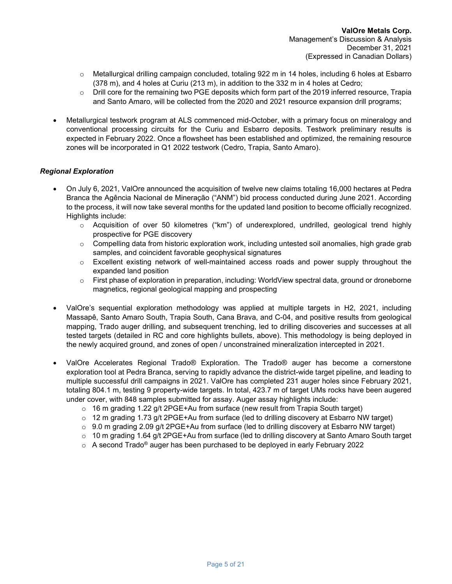- $\circ$  Metallurgical drilling campaign concluded, totaling 922 m in 14 holes, including 6 holes at Esbarro (378 m), and 4 holes at Curiu (213 m), in addition to the 332 m in 4 holes at Cedro;
- $\circ$  Drill core for the remaining two PGE deposits which form part of the 2019 inferred resource, Trapia and Santo Amaro, will be collected from the 2020 and 2021 resource expansion drill programs;
- Metallurgical testwork program at ALS commenced mid-October, with a primary focus on mineralogy and conventional processing circuits for the Curiu and Esbarro deposits. Testwork preliminary results is expected in February 2022. Once a flowsheet has been established and optimized, the remaining resource zones will be incorporated in Q1 2022 testwork (Cedro, Trapia, Santo Amaro).

## Regional Exploration

- On July 6, 2021, ValOre announced the acquisition of twelve new claims totaling 16,000 hectares at Pedra Branca the Agência Nacional de Mineração ("ANM") bid process conducted during June 2021. According to the process, it will now take several months for the updated land position to become officially recognized. Highlights include:
	- $\circ$  Acquisition of over 50 kilometres ("km") of underexplored, undrilled, geological trend highly prospective for PGE discovery
	- $\circ$  Compelling data from historic exploration work, including untested soil anomalies, high grade grab samples, and coincident favorable geophysical signatures
	- $\circ$  Excellent existing network of well-maintained access roads and power supply throughout the expanded land position
	- o First phase of exploration in preparation, including: WorldView spectral data, ground or droneborne magnetics, regional geological mapping and prospecting
- ValOre's sequential exploration methodology was applied at multiple targets in H2, 2021, including Massapê, Santo Amaro South, Trapia South, Cana Brava, and C-04, and positive results from geological mapping, Trado auger drilling, and subsequent trenching, led to drilling discoveries and successes at all tested targets (detailed in RC and core highlights bullets, above). This methodology is being deployed in the newly acquired ground, and zones of open / unconstrained mineralization intercepted in 2021.
- ValOre Accelerates Regional Trado® Exploration. The Trado® auger has become a cornerstone exploration tool at Pedra Branca, serving to rapidly advance the district-wide target pipeline, and leading to multiple successful drill campaigns in 2021. ValOre has completed 231 auger holes since February 2021, totaling 804.1 m, testing 9 property-wide targets. In total, 423.7 m of target UMs rocks have been augered under cover, with 848 samples submitted for assay. Auger assay highlights include:
	- $\circ$  16 m grading 1.22 g/t 2PGE+Au from surface (new result from Trapia South target)
	- $\circ$  12 m grading 1.73 g/t 2PGE+Au from surface (led to drilling discovery at Esbarro NW target)
	- $\circ$  9.0 m grading 2.09 g/t 2PGE+Au from surface (led to drilling discovery at Esbarro NW target)
	- $\circ$  10 m grading 1.64 g/t 2PGE+Au from surface (led to drilling discovery at Santo Amaro South target
	- $\circ$  A second Trado® auger has been purchased to be deployed in early February 2022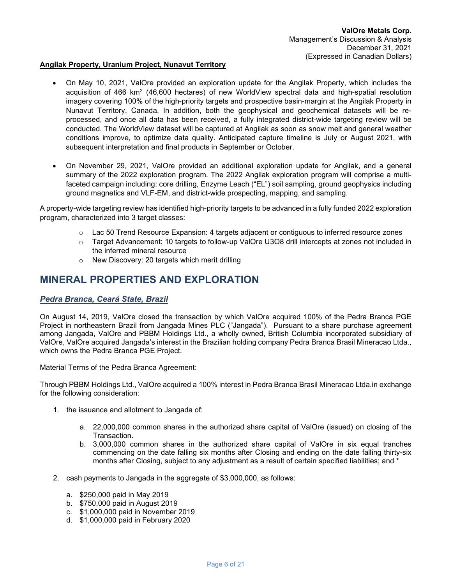#### Angilak Property, Uranium Project, Nunavut Territory

- On May 10, 2021, ValOre provided an exploration update for the Angilak Property, which includes the acquisition of 466 km<sup>2</sup> (46,600 hectares) of new WorldView spectral data and high-spatial resolution imagery covering 100% of the high-priority targets and prospective basin-margin at the Angilak Property in Nunavut Territory, Canada. In addition, both the geophysical and geochemical datasets will be reprocessed, and once all data has been received, a fully integrated district-wide targeting review will be conducted. The WorldView dataset will be captured at Angilak as soon as snow melt and general weather conditions improve, to optimize data quality. Anticipated capture timeline is July or August 2021, with subsequent interpretation and final products in September or October.
- On November 29, 2021, ValOre provided an additional exploration update for Angilak, and a general summary of the 2022 exploration program. The 2022 Angilak exploration program will comprise a multifaceted campaign including: core drilling, Enzyme Leach ("EL") soil sampling, ground geophysics including ground magnetics and VLF-EM, and district-wide prospecting, mapping, and sampling.

A property-wide targeting review has identified high-priority targets to be advanced in a fully funded 2022 exploration program, characterized into 3 target classes:

- $\circ$  Lac 50 Trend Resource Expansion: 4 targets adjacent or contiguous to inferred resource zones
- o Target Advancement: 10 targets to follow-up ValOre U3O8 drill intercepts at zones not included in the inferred mineral resource
- o New Discovery: 20 targets which merit drilling

## MINERAL PROPERTIES AND EXPLORATION

## Pedra Branca, Ceará State, Brazil

On August 14, 2019, ValOre closed the transaction by which ValOre acquired 100% of the Pedra Branca PGE Project in northeastern Brazil from Jangada Mines PLC ("Jangada"). Pursuant to a share purchase agreement among Jangada, ValOre and PBBM Holdings Ltd., a wholly owned, British Columbia incorporated subsidiary of ValOre, ValOre acquired Jangada's interest in the Brazilian holding company Pedra Branca Brasil Mineracao Ltda., which owns the Pedra Branca PGE Project.

Material Terms of the Pedra Branca Agreement:

Through PBBM Holdings Ltd., ValOre acquired a 100% interest in Pedra Branca Brasil Mineracao Ltda.in exchange for the following consideration:

- 1. the issuance and allotment to Jangada of:
	- a. 22,000,000 common shares in the authorized share capital of ValOre (issued) on closing of the Transaction.
	- b. 3,000,000 common shares in the authorized share capital of ValOre in six equal tranches commencing on the date falling six months after Closing and ending on the date falling thirty-six months after Closing, subject to any adjustment as a result of certain specified liabilities; and \*
- 2. cash payments to Jangada in the aggregate of \$3,000,000, as follows:
	- a. \$250,000 paid in May 2019
	- b. \$750,000 paid in August 2019
	- c. \$1,000,000 paid in November 2019
	- d. \$1,000,000 paid in February 2020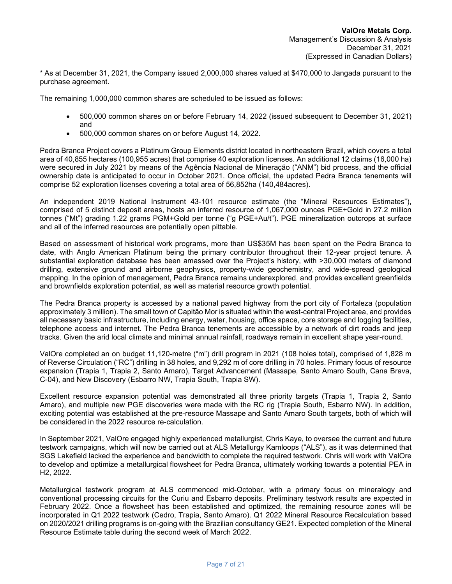\* As at December 31, 2021, the Company issued 2,000,000 shares valued at \$470,000 to Jangada pursuant to the purchase agreement.

The remaining 1,000,000 common shares are scheduled to be issued as follows:

- 500,000 common shares on or before February 14, 2022 (issued subsequent to December 31, 2021) and
- 500,000 common shares on or before August 14, 2022.

Pedra Branca Project covers a Platinum Group Elements district located in northeastern Brazil, which covers a total area of 40,855 hectares (100,955 acres) that comprise 40 exploration licenses. An additional 12 claims (16,000 ha) were secured in July 2021 by means of the Agência Nacional de Mineração ("ANM") bid process, and the official ownership date is anticipated to occur in October 2021. Once official, the updated Pedra Branca tenements will comprise 52 exploration licenses covering a total area of 56,852ha (140,484acres).

An independent 2019 National Instrument 43-101 resource estimate (the "Mineral Resources Estimates"), comprised of 5 distinct deposit areas, hosts an inferred resource of 1,067,000 ounces PGE+Gold in 27.2 million tonnes ("Mt") grading 1.22 grams PGM+Gold per tonne ("g PGE+Au/t"). PGE mineralization outcrops at surface and all of the inferred resources are potentially open pittable.

Based on assessment of historical work programs, more than US\$35M has been spent on the Pedra Branca to date, with Anglo American Platinum being the primary contributor throughout their 12-year project tenure. A substantial exploration database has been amassed over the Project's history, with >30,000 meters of diamond drilling, extensive ground and airborne geophysics, property-wide geochemistry, and wide-spread geological mapping. In the opinion of management, Pedra Branca remains underexplored, and provides excellent greenfields and brownfields exploration potential, as well as material resource growth potential.

The Pedra Branca property is accessed by a national paved highway from the port city of Fortaleza (population approximately 3 million). The small town of Capitão Mor is situated within the west-central Project area, and provides all necessary basic infrastructure, including energy, water, housing, office space, core storage and logging facilities, telephone access and internet. The Pedra Branca tenements are accessible by a network of dirt roads and jeep tracks. Given the arid local climate and minimal annual rainfall, roadways remain in excellent shape year-round.

ValOre completed an on budget 11,120-metre ("m") drill program in 2021 (108 holes total), comprised of 1,828 m of Reverse Circulation ("RC") drilling in 38 holes, and 9,292 m of core drilling in 70 holes. Primary focus of resource expansion (Trapia 1, Trapia 2, Santo Amaro), Target Advancement (Massape, Santo Amaro South, Cana Brava, C-04), and New Discovery (Esbarro NW, Trapia South, Trapia SW).

Excellent resource expansion potential was demonstrated all three priority targets (Trapia 1, Trapia 2, Santo Amaro), and multiple new PGE discoveries were made with the RC rig (Trapia South, Esbarro NW). In addition, exciting potential was established at the pre-resource Massape and Santo Amaro South targets, both of which will be considered in the 2022 resource re-calculation.

In September 2021, ValOre engaged highly experienced metallurgist, Chris Kaye, to oversee the current and future testwork campaigns, which will now be carried out at ALS Metallurgy Kamloops ("ALS"), as it was determined that SGS Lakefield lacked the experience and bandwidth to complete the required testwork. Chris will work with ValOre to develop and optimize a metallurgical flowsheet for Pedra Branca, ultimately working towards a potential PEA in H2, 2022.

Metallurgical testwork program at ALS commenced mid-October, with a primary focus on mineralogy and conventional processing circuits for the Curiu and Esbarro deposits. Preliminary testwork results are expected in February 2022. Once a flowsheet has been established and optimized, the remaining resource zones will be incorporated in Q1 2022 testwork (Cedro, Trapia, Santo Amaro). Q1 2022 Mineral Resource Recalculation based on 2020/2021 drilling programs is on-going with the Brazilian consultancy GE21. Expected completion of the Mineral Resource Estimate table during the second week of March 2022.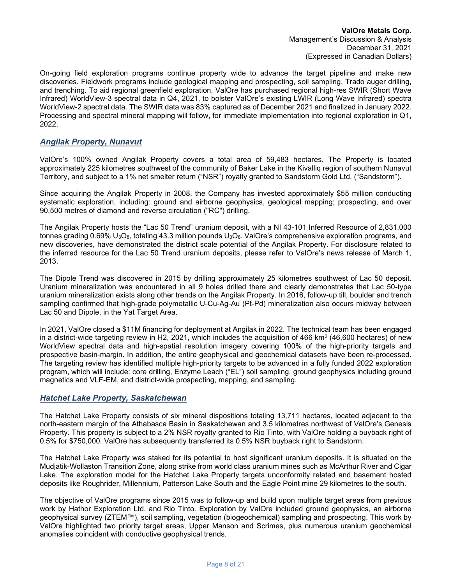On-going field exploration programs continue property wide to advance the target pipeline and make new discoveries. Fieldwork programs include geological mapping and prospecting, soil sampling, Trado auger drilling, and trenching. To aid regional greenfield exploration, ValOre has purchased regional high-res SWIR (Short Wave Infrared) WorldView-3 spectral data in Q4, 2021, to bolster ValOre's existing LWIR (Long Wave Infrared) spectra WorldView-2 spectral data. The SWIR data was 83% captured as of December 2021 and finalized in January 2022. Processing and spectral mineral mapping will follow, for immediate implementation into regional exploration in Q1, 2022.

## Angilak Property, Nunavut

ValOre's 100% owned Angilak Property covers a total area of 59,483 hectares. The Property is located approximately 225 kilometres southwest of the community of Baker Lake in the Kivalliq region of southern Nunavut Territory, and subject to a 1% net smelter return ("NSR") royalty granted to Sandstorm Gold Ltd. ("Sandstorm").

Since acquiring the Angilak Property in 2008, the Company has invested approximately \$55 million conducting systematic exploration, including: ground and airborne geophysics, geological mapping; prospecting, and over 90,500 metres of diamond and reverse circulation ("RC") drilling.

The Angilak Property hosts the "Lac 50 Trend" uranium deposit, with a NI 43-101 Inferred Resource of 2,831,000 tonnes grading 0.69% U<sub>3</sub>O<sub>8</sub>, totaling 43.3 million pounds U<sub>3</sub>O<sub>8</sub>. ValOre's comprehensive exploration programs, and new discoveries, have demonstrated the district scale potential of the Angilak Property. For disclosure related to the inferred resource for the Lac 50 Trend uranium deposits, please refer to ValOre's news release of March 1, 2013.

The Dipole Trend was discovered in 2015 by drilling approximately 25 kilometres southwest of Lac 50 deposit. Uranium mineralization was encountered in all 9 holes drilled there and clearly demonstrates that Lac 50-type uranium mineralization exists along other trends on the Angilak Property. In 2016, follow-up till, boulder and trench sampling confirmed that high-grade polymetallic U-Cu-Ag-Au (Pt-Pd) mineralization also occurs midway between Lac 50 and Dipole, in the Yat Target Area.

In 2021, ValOre closed a \$11M financing for deployment at Angilak in 2022. The technical team has been engaged in a district-wide targeting review in H2, 2021, which includes the acquisition of 466 km² (46,600 hectares) of new WorldView spectral data and high-spatial resolution imagery covering 100% of the high-priority targets and prospective basin-margin. In addition, the entire geophysical and geochemical datasets have been re-processed. The targeting review has identified multiple high-priority targets to be advanced in a fully funded 2022 exploration program, which will include: core drilling, Enzyme Leach ("EL") soil sampling, ground geophysics including ground magnetics and VLF-EM, and district-wide prospecting, mapping, and sampling.

## Hatchet Lake Property, Saskatchewan

The Hatchet Lake Property consists of six mineral dispositions totaling 13,711 hectares, located adjacent to the north-eastern margin of the Athabasca Basin in Saskatchewan and 3.5 kilometres northwest of ValOre's Genesis Property. This property is subject to a 2% NSR royalty granted to Rio Tinto, with ValOre holding a buyback right of 0.5% for \$750,000. ValOre has subsequently transferred its 0.5% NSR buyback right to Sandstorm.

The Hatchet Lake Property was staked for its potential to host significant uranium deposits. It is situated on the Mudjatik-Wollaston Transition Zone, along strike from world class uranium mines such as McArthur River and Cigar Lake. The exploration model for the Hatchet Lake Property targets unconformity related and basement hosted deposits like Roughrider, Millennium, Patterson Lake South and the Eagle Point mine 29 kilometres to the south.

The objective of ValOre programs since 2015 was to follow-up and build upon multiple target areas from previous work by Hathor Exploration Ltd. and Rio Tinto. Exploration by ValOre included ground geophysics, an airborne geophysical survey (ZTEM™), soil sampling, vegetation (biogeochemical) sampling and prospecting. This work by ValOre highlighted two priority target areas, Upper Manson and Scrimes, plus numerous uranium geochemical anomalies coincident with conductive geophysical trends.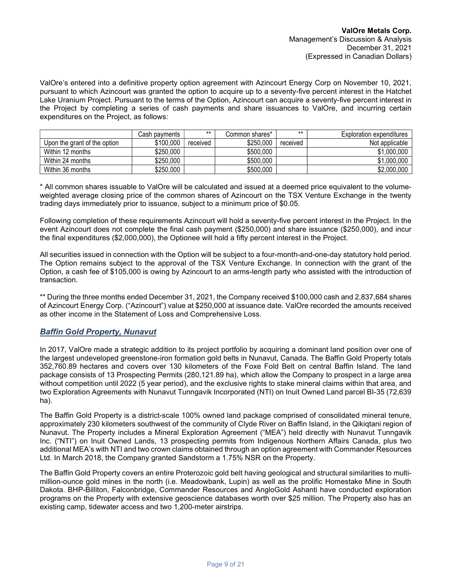ValOre's entered into a definitive property option agreement with Azincourt Energy Corp on November 10, 2021, pursuant to which Azincourt was granted the option to acquire up to a seventy-five percent interest in the Hatchet Lake Uranium Project. Pursuant to the terms of the Option, Azincourt can acquire a seventy-five percent interest in the Project by completing a series of cash payments and share issuances to ValOre, and incurring certain expenditures on the Project, as follows:

|                              | Cash payments | $***$    | Common shares* | $***$    | Exploration expenditures |
|------------------------------|---------------|----------|----------------|----------|--------------------------|
| Upon the grant of the option | \$100,000     | received | \$250,000      | received | Not applicable           |
| Within 12 months             | \$250,000     |          | \$500,000      |          | \$1,000,000              |
| Within 24 months             | \$250,000     |          | \$500,000      |          | \$1,000,000              |
| Within 36 months             | \$250,000     |          | \$500,000      |          | \$2,000,000              |

\* All common shares issuable to ValOre will be calculated and issued at a deemed price equivalent to the volumeweighted average closing price of the common shares of Azincourt on the TSX Venture Exchange in the twenty trading days immediately prior to issuance, subject to a minimum price of \$0.05.

Following completion of these requirements Azincourt will hold a seventy-five percent interest in the Project. In the event Azincourt does not complete the final cash payment (\$250,000) and share issuance (\$250,000), and incur the final expenditures (\$2,000,000), the Optionee will hold a fifty percent interest in the Project.

All securities issued in connection with the Option will be subject to a four-month-and-one-day statutory hold period. The Option remains subject to the approval of the TSX Venture Exchange. In connection with the grant of the Option, a cash fee of \$105,000 is owing by Azincourt to an arms-length party who assisted with the introduction of transaction.

\*\* During the three months ended December 31, 2021, the Company received \$100,000 cash and 2,837,684 shares of Azincourt Energy Corp. ("Azincourt") value at \$250,000 at issuance date. ValOre recorded the amounts received as other income in the Statement of Loss and Comprehensive Loss.

## Baffin Gold Property, Nunavut

In 2017, ValOre made a strategic addition to its project portfolio by acquiring a dominant land position over one of the largest undeveloped greenstone-iron formation gold belts in Nunavut, Canada. The Baffin Gold Property totals 352,760.89 hectares and covers over 130 kilometers of the Foxe Fold Belt on central Baffin Island. The land package consists of 13 Prospecting Permits (280,121.89 ha), which allow the Company to prospect in a large area without competition until 2022 (5 year period), and the exclusive rights to stake mineral claims within that area, and two Exploration Agreements with Nunavut Tunngavik Incorporated (NTI) on Inuit Owned Land parcel BI-35 (72,639 ha).

The Baffin Gold Property is a district-scale 100% owned land package comprised of consolidated mineral tenure, approximately 230 kilometers southwest of the community of Clyde River on Baffin Island, in the Qikiqtani region of Nunavut. The Property includes a Mineral Exploration Agreement ("MEA") held directly with Nunavut Tunngavik Inc. ("NTI") on Inuit Owned Lands, 13 prospecting permits from Indigenous Northern Affairs Canada, plus two additional MEA's with NTI and two crown claims obtained through an option agreement with Commander Resources Ltd. In March 2018, the Company granted Sandstorm a 1.75% NSR on the Property.

The Baffin Gold Property covers an entire Proterozoic gold belt having geological and structural similarities to multimillion-ounce gold mines in the north (i.e. Meadowbank, Lupin) as well as the prolific Homestake Mine in South Dakota. BHP-Billiton, Falconbridge, Commander Resources and AngloGold Ashanti have conducted exploration programs on the Property with extensive geoscience databases worth over \$25 million. The Property also has an existing camp, tidewater access and two 1,200-meter airstrips.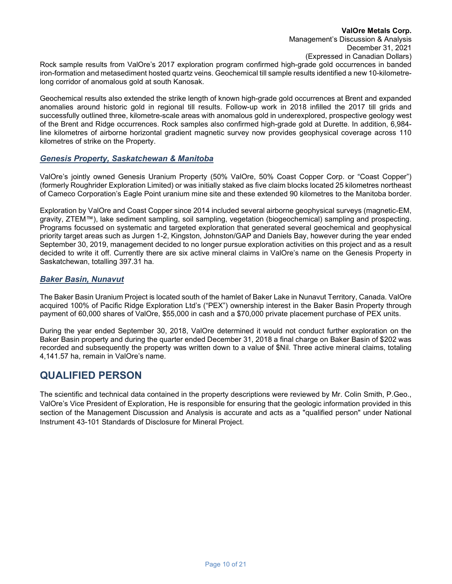Rock sample results from ValOre's 2017 exploration program confirmed high-grade gold occurrences in banded iron-formation and metasediment hosted quartz veins. Geochemical till sample results identified a new 10-kilometrelong corridor of anomalous gold at south Kanosak.

Geochemical results also extended the strike length of known high-grade gold occurrences at Brent and expanded anomalies around historic gold in regional till results. Follow-up work in 2018 infilled the 2017 till grids and successfully outlined three, kilometre-scale areas with anomalous gold in underexplored, prospective geology west of the Brent and Ridge occurrences. Rock samples also confirmed high-grade gold at Durette. In addition, 6,984 line kilometres of airborne horizontal gradient magnetic survey now provides geophysical coverage across 110 kilometres of strike on the Property.

#### Genesis Property, Saskatchewan & Manitoba

ValOre's jointly owned Genesis Uranium Property (50% ValOre, 50% Coast Copper Corp. or "Coast Copper") (formerly Roughrider Exploration Limited) or was initially staked as five claim blocks located 25 kilometres northeast of Cameco Corporation's Eagle Point uranium mine site and these extended 90 kilometres to the Manitoba border.

Exploration by ValOre and Coast Copper since 2014 included several airborne geophysical surveys (magnetic-EM, gravity, ZTEM™), lake sediment sampling, soil sampling, vegetation (biogeochemical) sampling and prospecting. Programs focussed on systematic and targeted exploration that generated several geochemical and geophysical priority target areas such as Jurgen 1-2, Kingston, Johnston/GAP and Daniels Bay, however during the year ended September 30, 2019, management decided to no longer pursue exploration activities on this project and as a result decided to write it off. Currently there are six active mineral claims in ValOre's name on the Genesis Property in Saskatchewan, totalling 397.31 ha.

## Baker Basin, Nunavut

The Baker Basin Uranium Project is located south of the hamlet of Baker Lake in Nunavut Territory, Canada. ValOre acquired 100% of Pacific Ridge Exploration Ltd's ("PEX") ownership interest in the Baker Basin Property through payment of 60,000 shares of ValOre, \$55,000 in cash and a \$70,000 private placement purchase of PEX units.

During the year ended September 30, 2018, ValOre determined it would not conduct further exploration on the Baker Basin property and during the quarter ended December 31, 2018 a final charge on Baker Basin of \$202 was recorded and subsequently the property was written down to a value of \$Nil. Three active mineral claims, totaling 4,141.57 ha, remain in ValOre's name.

## QUALIFIED PERSON

The scientific and technical data contained in the property descriptions were reviewed by Mr. Colin Smith, P.Geo., ValOre's Vice President of Exploration, He is responsible for ensuring that the geologic information provided in this section of the Management Discussion and Analysis is accurate and acts as a "qualified person" under National Instrument 43-101 Standards of Disclosure for Mineral Project.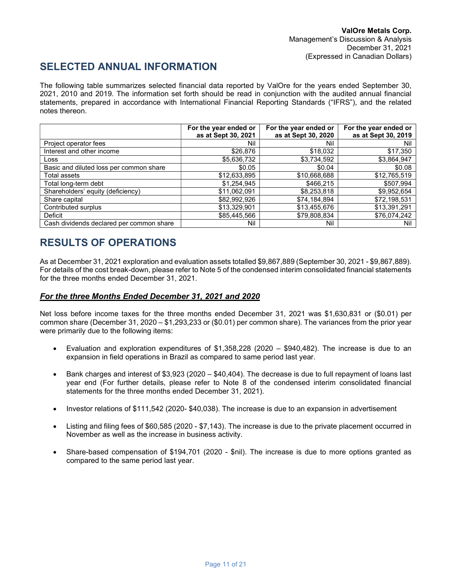# SELECTED ANNUAL INFORMATION

The following table summarizes selected financial data reported by ValOre for the years ended September 30, 2021, 2010 and 2019. The information set forth should be read in conjunction with the audited annual financial statements, prepared in accordance with International Financial Reporting Standards ("IFRS"), and the related notes thereon.

|                                          | For the year ended or<br>as at Sept 30, 2021 | For the year ended or<br>as at Sept 30, 2020 | For the year ended or<br>as at Sept 30, 2019 |
|------------------------------------------|----------------------------------------------|----------------------------------------------|----------------------------------------------|
| Project operator fees                    | Nil                                          | Nil                                          | Nil                                          |
| Interest and other income                | \$26,876                                     | \$18,032                                     | \$17,350                                     |
| Loss                                     | \$5,636,732                                  | \$3,734,592                                  | \$3,864,947                                  |
| Basic and diluted loss per common share  | \$0.05                                       | \$0.04                                       | \$0.08                                       |
| Total assets                             | \$12,633,895                                 | \$10,668,688                                 | \$12,765,519                                 |
| Total long-term debt                     | \$1,254,945                                  | \$466,215                                    | \$507,994                                    |
| Shareholders' equity (deficiency)        | \$11,062,091                                 | \$8,253,818                                  | \$9,952,654                                  |
| Share capital                            | \$82,992,926                                 | \$74,184,894                                 | \$72,198,531                                 |
| Contributed surplus                      | \$13,329,901                                 | \$13,455,676                                 | \$13,391,291                                 |
| Deficit                                  | \$85,445,566                                 | \$79,808,834                                 | \$76,074,242                                 |
| Cash dividends declared per common share | Nil                                          | Nil                                          | Nil                                          |

# RESULTS OF OPERATIONS

As at December 31, 2021 exploration and evaluation assets totalled \$9,867,889 (September 30, 2021 - \$9,867,889). For details of the cost break-down, please refer to Note 5 of the condensed interim consolidated financial statements for the three months ended December 31, 2021.

## For the three Months Ended December 31, 2021 and 2020

Net loss before income taxes for the three months ended December 31, 2021 was \$1,630,831 or (\$0.01) per common share (December 31, 2020 – \$1,293,233 or (\$0.01) per common share). The variances from the prior year were primarily due to the following items:

- Evaluation and exploration expenditures of \$1,358,228 (2020 \$940,482). The increase is due to an expansion in field operations in Brazil as compared to same period last year.
- Bank charges and interest of \$3,923 (2020 \$40,404). The decrease is due to full repayment of loans last year end (For further details, please refer to Note 8 of the condensed interim consolidated financial statements for the three months ended December 31, 2021).
- Investor relations of \$111,542 (2020- \$40,038). The increase is due to an expansion in advertisement
- Listing and filing fees of \$60,585 (2020 \$7,143). The increase is due to the private placement occurred in November as well as the increase in business activity.
- Share-based compensation of \$194,701 (2020 \$nil). The increase is due to more options granted as compared to the same period last year.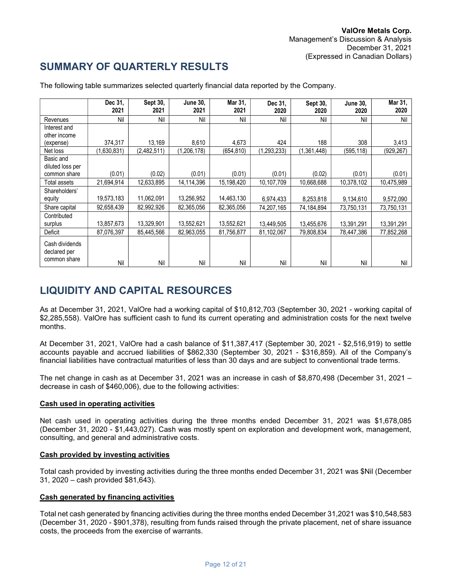# SUMMARY OF QUARTERLY RESULTS

|                                                | Dec 31,<br>2021 | Sept 30,<br>2021 | <b>June 30.</b><br>2021 | Mar 31,<br>2021 | Dec 31,<br>2020 | Sept 30,<br>2020 | <b>June 30,</b><br>2020 | Mar 31,<br>2020 |
|------------------------------------------------|-----------------|------------------|-------------------------|-----------------|-----------------|------------------|-------------------------|-----------------|
| Revenues                                       | Nil             | Nil              | Nil                     | Nil             | Nil             | Nil              | Nil                     | Nil             |
| Interest and                                   |                 |                  |                         |                 |                 |                  |                         |                 |
| other income                                   |                 |                  |                         |                 |                 |                  |                         |                 |
| (expense)                                      | 374,317         | 13,169           | 8,610                   | 4.673           | 424             | 188              | 308                     | 3,413           |
| Net loss                                       | (1,630,831)     | (2,482,511)      | (1, 206, 178)           | (654, 810)      | (1, 293, 233)   | (1,361,448)      | (595, 118)              | (929, 267)      |
| Basic and                                      |                 |                  |                         |                 |                 |                  |                         |                 |
| diluted loss per                               |                 |                  |                         |                 |                 |                  |                         |                 |
| common share                                   | (0.01)          | (0.02)           | (0.01)                  | (0.01)          | (0.01)          | (0.02)           | (0.01)                  | (0.01)          |
| Total assets                                   | 21,694,914      | 12,633,895       | 14.114.396              | 15,198,420      | 10,107,709      | 10.668.688       | 10,378,102              | 10,475,989      |
| Shareholders'                                  |                 |                  |                         |                 |                 |                  |                         |                 |
| equity                                         | 19,573,183      | 11,062,091       | 13,256,952              | 14,463,130      | 6,974,433       | 8,253,818        | 9,134,610               | 9,572,090       |
| Share capital                                  | 92,658,439      | 82,992,926       | 82,365,056              | 82,365,056      | 74,207,165      | 74,184,894       | 73,750,131              | 73,750,131      |
| Contributed                                    |                 |                  |                         |                 |                 |                  |                         |                 |
| surplus                                        | 13,857,673      | 13,329,901       | 13,552,621              | 13,552,621      | 13,449,505      | 13,455,676       | 13,391,291              | 13,391,291      |
| Deficit                                        | 87,076,397      | 85,445,566       | 82,963,055              | 81,756,877      | 81,102,067      | 79,808,834       | 78,447,386              | 77,852,268      |
| Cash dividends<br>declared per<br>common share | Nil             | Nil              | Nil                     | Nil             | Nil             | Nil              | Nil                     | Nil             |

The following table summarizes selected quarterly financial data reported by the Company.

# LIQUIDITY AND CAPITAL RESOURCES

As at December 31, 2021, ValOre had a working capital of \$10,812,703 (September 30, 2021 - working capital of \$2,285,558). ValOre has sufficient cash to fund its current operating and administration costs for the next twelve months.

At December 31, 2021, ValOre had a cash balance of \$11,387,417 (September 30, 2021 - \$2,516,919) to settle accounts payable and accrued liabilities of \$862,330 (September 30, 2021 - \$316,859). All of the Company's financial liabilities have contractual maturities of less than 30 days and are subject to conventional trade terms.

The net change in cash as at December 31, 2021 was an increase in cash of \$8,870,498 (December 31, 2021 – decrease in cash of \$460,006), due to the following activities:

## Cash used in operating activities

Net cash used in operating activities during the three months ended December 31, 2021 was \$1,678,085 (December 31, 2020 - \$1,443,027). Cash was mostly spent on exploration and development work, management, consulting, and general and administrative costs.

## Cash provided by investing activities

Total cash provided by investing activities during the three months ended December 31, 2021 was \$Nil (December 31, 2020 – cash provided \$81,643).

## Cash generated by financing activities

Total net cash generated by financing activities during the three months ended December 31,2021 was \$10,548,583 (December 31, 2020 - \$901,378), resulting from funds raised through the private placement, net of share issuance costs, the proceeds from the exercise of warrants.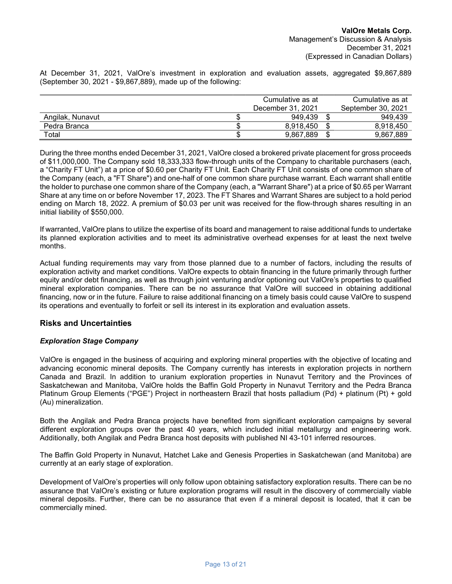At December 31, 2021, ValOre's investment in exploration and evaluation assets, aggregated \$9,867,889 (September 30, 2021 - \$9,867,889), made up of the following:

|                  | Cumulative as at |                   |  | Cumulative as at   |  |  |
|------------------|------------------|-------------------|--|--------------------|--|--|
|                  |                  | December 31, 2021 |  | September 30, 2021 |  |  |
| Angilak, Nunavut |                  | 949.439           |  | 949.439            |  |  |
| Pedra Branca     |                  | 8.918.450         |  | 8.918.450          |  |  |
| Total            |                  | 9,867,889         |  | 9,867,889          |  |  |

During the three months ended December 31, 2021, ValOre closed a brokered private placement for gross proceeds of \$11,000,000. The Company sold 18,333,333 flow-through units of the Company to charitable purchasers (each, a "Charity FT Unit") at a price of \$0.60 per Charity FT Unit. Each Charity FT Unit consists of one common share of the Company (each, a "FT Share") and one-half of one common share purchase warrant. Each warrant shall entitle the holder to purchase one common share of the Company (each, a "Warrant Share") at a price of \$0.65 per Warrant Share at any time on or before November 17, 2023. The FT Shares and Warrant Shares are subject to a hold period ending on March 18, 2022. A premium of \$0.03 per unit was received for the flow-through shares resulting in an initial liability of \$550,000.

If warranted, ValOre plans to utilize the expertise of its board and management to raise additional funds to undertake its planned exploration activities and to meet its administrative overhead expenses for at least the next twelve months.

Actual funding requirements may vary from those planned due to a number of factors, including the results of exploration activity and market conditions. ValOre expects to obtain financing in the future primarily through further equity and/or debt financing, as well as through joint venturing and/or optioning out ValOre's properties to qualified mineral exploration companies. There can be no assurance that ValOre will succeed in obtaining additional financing, now or in the future. Failure to raise additional financing on a timely basis could cause ValOre to suspend its operations and eventually to forfeit or sell its interest in its exploration and evaluation assets.

#### Risks and Uncertainties

#### Exploration Stage Company

ValOre is engaged in the business of acquiring and exploring mineral properties with the objective of locating and advancing economic mineral deposits. The Company currently has interests in exploration projects in northern Canada and Brazil. In addition to uranium exploration properties in Nunavut Territory and the Provinces of Saskatchewan and Manitoba, ValOre holds the Baffin Gold Property in Nunavut Territory and the Pedra Branca Platinum Group Elements ("PGE") Project in northeastern Brazil that hosts palladium (Pd) + platinum (Pt) + gold (Au) mineralization.

Both the Angilak and Pedra Branca projects have benefited from significant exploration campaigns by several different exploration groups over the past 40 years, which included initial metallurgy and engineering work. Additionally, both Angilak and Pedra Branca host deposits with published NI 43-101 inferred resources.

The Baffin Gold Property in Nunavut, Hatchet Lake and Genesis Properties in Saskatchewan (and Manitoba) are currently at an early stage of exploration.

Development of ValOre's properties will only follow upon obtaining satisfactory exploration results. There can be no assurance that ValOre's existing or future exploration programs will result in the discovery of commercially viable mineral deposits. Further, there can be no assurance that even if a mineral deposit is located, that it can be commercially mined.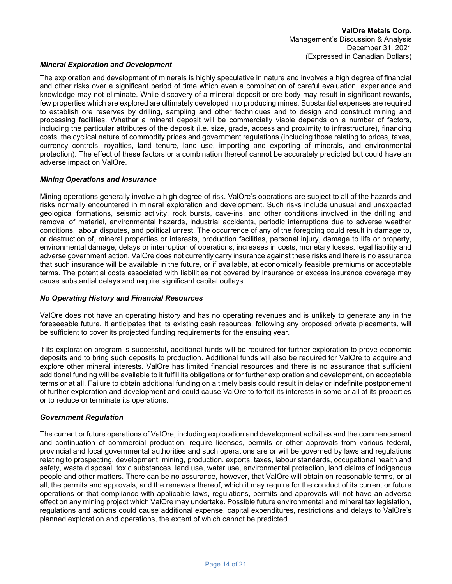#### Mineral Exploration and Development

The exploration and development of minerals is highly speculative in nature and involves a high degree of financial and other risks over a significant period of time which even a combination of careful evaluation, experience and knowledge may not eliminate. While discovery of a mineral deposit or ore body may result in significant rewards, few properties which are explored are ultimately developed into producing mines. Substantial expenses are required to establish ore reserves by drilling, sampling and other techniques and to design and construct mining and processing facilities. Whether a mineral deposit will be commercially viable depends on a number of factors, including the particular attributes of the deposit (i.e. size, grade, access and proximity to infrastructure), financing costs, the cyclical nature of commodity prices and government regulations (including those relating to prices, taxes, currency controls, royalties, land tenure, land use, importing and exporting of minerals, and environmental protection). The effect of these factors or a combination thereof cannot be accurately predicted but could have an adverse impact on ValOre.

#### Mining Operations and Insurance

Mining operations generally involve a high degree of risk. ValOre's operations are subject to all of the hazards and risks normally encountered in mineral exploration and development. Such risks include unusual and unexpected geological formations, seismic activity, rock bursts, cave-ins, and other conditions involved in the drilling and removal of material, environmental hazards, industrial accidents, periodic interruptions due to adverse weather conditions, labour disputes, and political unrest. The occurrence of any of the foregoing could result in damage to, or destruction of, mineral properties or interests, production facilities, personal injury, damage to life or property, environmental damage, delays or interruption of operations, increases in costs, monetary losses, legal liability and adverse government action. ValOre does not currently carry insurance against these risks and there is no assurance that such insurance will be available in the future, or if available, at economically feasible premiums or acceptable terms. The potential costs associated with liabilities not covered by insurance or excess insurance coverage may cause substantial delays and require significant capital outlays.

#### No Operating History and Financial Resources

ValOre does not have an operating history and has no operating revenues and is unlikely to generate any in the foreseeable future. It anticipates that its existing cash resources, following any proposed private placements, will be sufficient to cover its projected funding requirements for the ensuing year.

If its exploration program is successful, additional funds will be required for further exploration to prove economic deposits and to bring such deposits to production. Additional funds will also be required for ValOre to acquire and explore other mineral interests. ValOre has limited financial resources and there is no assurance that sufficient additional funding will be available to it fulfill its obligations or for further exploration and development, on acceptable terms or at all. Failure to obtain additional funding on a timely basis could result in delay or indefinite postponement of further exploration and development and could cause ValOre to forfeit its interests in some or all of its properties or to reduce or terminate its operations.

#### Government Regulation

The current or future operations of ValOre, including exploration and development activities and the commencement and continuation of commercial production, require licenses, permits or other approvals from various federal, provincial and local governmental authorities and such operations are or will be governed by laws and regulations relating to prospecting, development, mining, production, exports, taxes, labour standards, occupational health and safety, waste disposal, toxic substances, land use, water use, environmental protection, land claims of indigenous people and other matters. There can be no assurance, however, that ValOre will obtain on reasonable terms, or at all, the permits and approvals, and the renewals thereof, which it may require for the conduct of its current or future operations or that compliance with applicable laws, regulations, permits and approvals will not have an adverse effect on any mining project which ValOre may undertake. Possible future environmental and mineral tax legislation, regulations and actions could cause additional expense, capital expenditures, restrictions and delays to ValOre's planned exploration and operations, the extent of which cannot be predicted.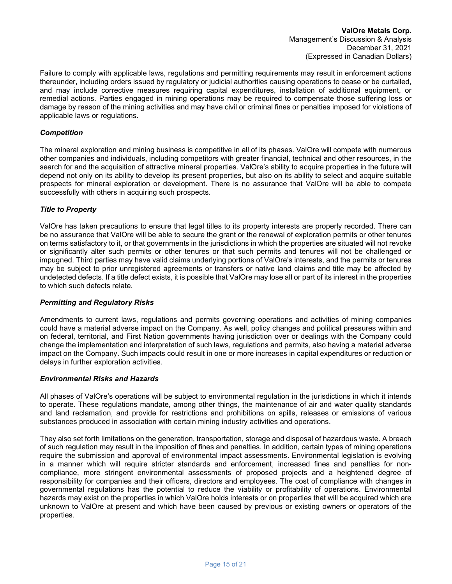Failure to comply with applicable laws, regulations and permitting requirements may result in enforcement actions thereunder, including orders issued by regulatory or judicial authorities causing operations to cease or be curtailed, and may include corrective measures requiring capital expenditures, installation of additional equipment, or remedial actions. Parties engaged in mining operations may be required to compensate those suffering loss or damage by reason of the mining activities and may have civil or criminal fines or penalties imposed for violations of applicable laws or regulations.

#### **Competition**

The mineral exploration and mining business is competitive in all of its phases. ValOre will compete with numerous other companies and individuals, including competitors with greater financial, technical and other resources, in the search for and the acquisition of attractive mineral properties. ValOre's ability to acquire properties in the future will depend not only on its ability to develop its present properties, but also on its ability to select and acquire suitable prospects for mineral exploration or development. There is no assurance that ValOre will be able to compete successfully with others in acquiring such prospects.

#### Title to Property

ValOre has taken precautions to ensure that legal titles to its property interests are properly recorded. There can be no assurance that ValOre will be able to secure the grant or the renewal of exploration permits or other tenures on terms satisfactory to it, or that governments in the jurisdictions in which the properties are situated will not revoke or significantly alter such permits or other tenures or that such permits and tenures will not be challenged or impugned. Third parties may have valid claims underlying portions of ValOre's interests, and the permits or tenures may be subject to prior unregistered agreements or transfers or native land claims and title may be affected by undetected defects. If a title defect exists, it is possible that ValOre may lose all or part of its interest in the properties to which such defects relate.

#### Permitting and Regulatory Risks

Amendments to current laws, regulations and permits governing operations and activities of mining companies could have a material adverse impact on the Company. As well, policy changes and political pressures within and on federal, territorial, and First Nation governments having jurisdiction over or dealings with the Company could change the implementation and interpretation of such laws, regulations and permits, also having a material adverse impact on the Company. Such impacts could result in one or more increases in capital expenditures or reduction or delays in further exploration activities.

#### Environmental Risks and Hazards

All phases of ValOre's operations will be subject to environmental regulation in the jurisdictions in which it intends to operate. These regulations mandate, among other things, the maintenance of air and water quality standards and land reclamation, and provide for restrictions and prohibitions on spills, releases or emissions of various substances produced in association with certain mining industry activities and operations.

They also set forth limitations on the generation, transportation, storage and disposal of hazardous waste. A breach of such regulation may result in the imposition of fines and penalties. In addition, certain types of mining operations require the submission and approval of environmental impact assessments. Environmental legislation is evolving in a manner which will require stricter standards and enforcement, increased fines and penalties for noncompliance, more stringent environmental assessments of proposed projects and a heightened degree of responsibility for companies and their officers, directors and employees. The cost of compliance with changes in governmental regulations has the potential to reduce the viability or profitability of operations. Environmental hazards may exist on the properties in which ValOre holds interests or on properties that will be acquired which are unknown to ValOre at present and which have been caused by previous or existing owners or operators of the properties.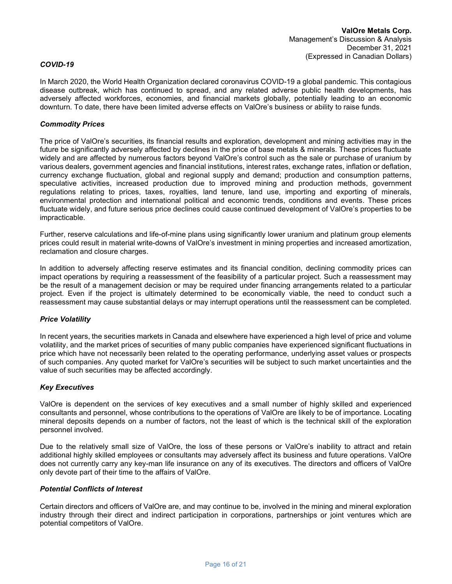#### COVID-19

In March 2020, the World Health Organization declared coronavirus COVID-19 a global pandemic. This contagious disease outbreak, which has continued to spread, and any related adverse public health developments, has adversely affected workforces, economies, and financial markets globally, potentially leading to an economic downturn. To date, there have been limited adverse effects on ValOre's business or ability to raise funds.

#### Commodity Prices

The price of ValOre's securities, its financial results and exploration, development and mining activities may in the future be significantly adversely affected by declines in the price of base metals & minerals. These prices fluctuate widely and are affected by numerous factors beyond ValOre's control such as the sale or purchase of uranium by various dealers, government agencies and financial institutions, interest rates, exchange rates, inflation or deflation, currency exchange fluctuation, global and regional supply and demand; production and consumption patterns, speculative activities, increased production due to improved mining and production methods, government regulations relating to prices, taxes, royalties, land tenure, land use, importing and exporting of minerals, environmental protection and international political and economic trends, conditions and events. These prices fluctuate widely, and future serious price declines could cause continued development of ValOre's properties to be impracticable.

Further, reserve calculations and life-of-mine plans using significantly lower uranium and platinum group elements prices could result in material write-downs of ValOre's investment in mining properties and increased amortization, reclamation and closure charges.

In addition to adversely affecting reserve estimates and its financial condition, declining commodity prices can impact operations by requiring a reassessment of the feasibility of a particular project. Such a reassessment may be the result of a management decision or may be required under financing arrangements related to a particular project. Even if the project is ultimately determined to be economically viable, the need to conduct such a reassessment may cause substantial delays or may interrupt operations until the reassessment can be completed.

#### Price Volatility

In recent years, the securities markets in Canada and elsewhere have experienced a high level of price and volume volatility, and the market prices of securities of many public companies have experienced significant fluctuations in price which have not necessarily been related to the operating performance, underlying asset values or prospects of such companies. Any quoted market for ValOre's securities will be subject to such market uncertainties and the value of such securities may be affected accordingly.

#### Key Executives

ValOre is dependent on the services of key executives and a small number of highly skilled and experienced consultants and personnel, whose contributions to the operations of ValOre are likely to be of importance. Locating mineral deposits depends on a number of factors, not the least of which is the technical skill of the exploration personnel involved.

Due to the relatively small size of ValOre, the loss of these persons or ValOre's inability to attract and retain additional highly skilled employees or consultants may adversely affect its business and future operations. ValOre does not currently carry any key-man life insurance on any of its executives. The directors and officers of ValOre only devote part of their time to the affairs of ValOre.

#### Potential Conflicts of Interest

Certain directors and officers of ValOre are, and may continue to be, involved in the mining and mineral exploration industry through their direct and indirect participation in corporations, partnerships or joint ventures which are potential competitors of ValOre.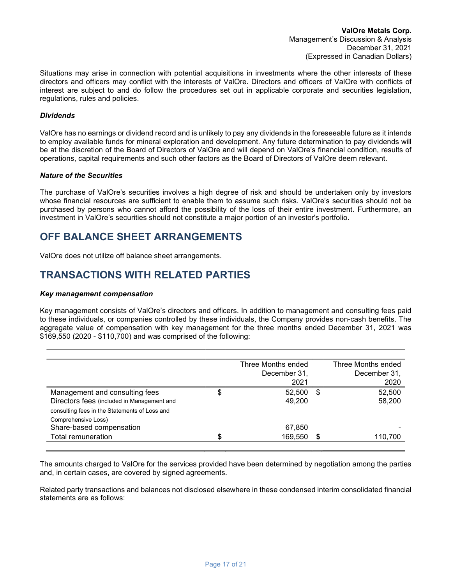Situations may arise in connection with potential acquisitions in investments where the other interests of these directors and officers may conflict with the interests of ValOre. Directors and officers of ValOre with conflicts of interest are subject to and do follow the procedures set out in applicable corporate and securities legislation, regulations, rules and policies.

#### **Dividends**

ValOre has no earnings or dividend record and is unlikely to pay any dividends in the foreseeable future as it intends to employ available funds for mineral exploration and development. Any future determination to pay dividends will be at the discretion of the Board of Directors of ValOre and will depend on ValOre's financial condition, results of operations, capital requirements and such other factors as the Board of Directors of ValOre deem relevant.

#### Nature of the Securities

The purchase of ValOre's securities involves a high degree of risk and should be undertaken only by investors whose financial resources are sufficient to enable them to assume such risks. ValOre's securities should not be purchased by persons who cannot afford the possibility of the loss of their entire investment. Furthermore, an investment in ValOre's securities should not constitute a major portion of an investor's portfolio.

## OFF BALANCE SHEET ARRANGEMENTS

ValOre does not utilize off balance sheet arrangements.

## TRANSACTIONS WITH RELATED PARTIES

#### Key management compensation

Key management consists of ValOre's directors and officers. In addition to management and consulting fees paid to these individuals, or companies controlled by these individuals, the Company provides non-cash benefits. The aggregate value of compensation with key management for the three months ended December 31, 2021 was \$169,550 (2020 - \$110,700) and was comprised of the following:

|                                               |   | Three Months ended |   | Three Months ended |
|-----------------------------------------------|---|--------------------|---|--------------------|
|                                               |   | December 31,       |   | December 31,       |
|                                               |   | 2021               |   | 2020               |
| Management and consulting fees                | Φ | 52.500             | S | 52,500             |
| Directors fees (included in Management and    |   | 49,200             |   | 58,200             |
| consulting fees in the Statements of Loss and |   |                    |   |                    |
| Comprehensive Loss)                           |   |                    |   |                    |
| Share-based compensation                      |   | 67,850             |   |                    |
| Total remuneration                            |   | 169,550            |   | 110,700            |
|                                               |   |                    |   |                    |

The amounts charged to ValOre for the services provided have been determined by negotiation among the parties and, in certain cases, are covered by signed agreements.

Related party transactions and balances not disclosed elsewhere in these condensed interim consolidated financial statements are as follows: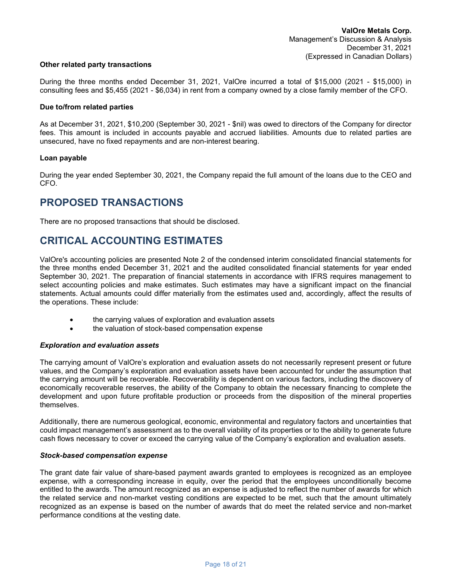#### Other related party transactions

During the three months ended December 31, 2021, ValOre incurred a total of \$15,000 (2021 - \$15,000) in consulting fees and \$5,455 (2021 - \$6,034) in rent from a company owned by a close family member of the CFO.

#### Due to/from related parties

As at December 31, 2021, \$10,200 (September 30, 2021 - \$nil) was owed to directors of the Company for director fees. This amount is included in accounts payable and accrued liabilities. Amounts due to related parties are unsecured, have no fixed repayments and are non-interest bearing.

#### Loan payable

During the year ended September 30, 2021, the Company repaid the full amount of the loans due to the CEO and CFO.

## PROPOSED TRANSACTIONS

There are no proposed transactions that should be disclosed.

# CRITICAL ACCOUNTING ESTIMATES

ValOre's accounting policies are presented Note 2 of the condensed interim consolidated financial statements for the three months ended December 31, 2021 and the audited consolidated financial statements for year ended September 30, 2021. The preparation of financial statements in accordance with IFRS requires management to select accounting policies and make estimates. Such estimates may have a significant impact on the financial statements. Actual amounts could differ materially from the estimates used and, accordingly, affect the results of the operations. These include:

- the carrying values of exploration and evaluation assets
- the valuation of stock-based compensation expense

#### Exploration and evaluation assets

The carrying amount of ValOre's exploration and evaluation assets do not necessarily represent present or future values, and the Company's exploration and evaluation assets have been accounted for under the assumption that the carrying amount will be recoverable. Recoverability is dependent on various factors, including the discovery of economically recoverable reserves, the ability of the Company to obtain the necessary financing to complete the development and upon future profitable production or proceeds from the disposition of the mineral properties themselves.

Additionally, there are numerous geological, economic, environmental and regulatory factors and uncertainties that could impact management's assessment as to the overall viability of its properties or to the ability to generate future cash flows necessary to cover or exceed the carrying value of the Company's exploration and evaluation assets.

#### Stock-based compensation expense

The grant date fair value of share-based payment awards granted to employees is recognized as an employee expense, with a corresponding increase in equity, over the period that the employees unconditionally become entitled to the awards. The amount recognized as an expense is adjusted to reflect the number of awards for which the related service and non-market vesting conditions are expected to be met, such that the amount ultimately recognized as an expense is based on the number of awards that do meet the related service and non-market performance conditions at the vesting date.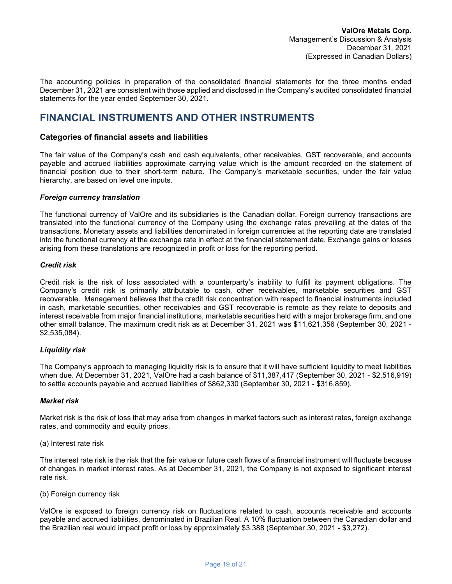The accounting policies in preparation of the consolidated financial statements for the three months ended December 31, 2021 are consistent with those applied and disclosed in the Company's audited consolidated financial statements for the year ended September 30, 2021.

## FINANCIAL INSTRUMENTS AND OTHER INSTRUMENTS

## Categories of financial assets and liabilities

The fair value of the Company's cash and cash equivalents, other receivables, GST recoverable, and accounts payable and accrued liabilities approximate carrying value which is the amount recorded on the statement of financial position due to their short-term nature. The Company's marketable securities, under the fair value hierarchy, are based on level one inputs.

#### Foreign currency translation

The functional currency of ValOre and its subsidiaries is the Canadian dollar. Foreign currency transactions are translated into the functional currency of the Company using the exchange rates prevailing at the dates of the transactions. Monetary assets and liabilities denominated in foreign currencies at the reporting date are translated into the functional currency at the exchange rate in effect at the financial statement date. Exchange gains or losses arising from these translations are recognized in profit or loss for the reporting period.

#### Credit risk

Credit risk is the risk of loss associated with a counterparty's inability to fulfill its payment obligations. The Company's credit risk is primarily attributable to cash, other receivables, marketable securities and GST recoverable. Management believes that the credit risk concentration with respect to financial instruments included in cash, marketable securities, other receivables and GST recoverable is remote as they relate to deposits and interest receivable from major financial institutions, marketable securities held with a major brokerage firm, and one other small balance. The maximum credit risk as at December 31, 2021 was \$11,621,356 (September 30, 2021 - \$2,535,084).

#### Liquidity risk

The Company's approach to managing liquidity risk is to ensure that it will have sufficient liquidity to meet liabilities when due. At December 31, 2021, ValOre had a cash balance of \$11,387,417 (September 30, 2021 - \$2,516,919) to settle accounts payable and accrued liabilities of \$862,330 (September 30, 2021 - \$316,859).

#### Market risk

Market risk is the risk of loss that may arise from changes in market factors such as interest rates, foreign exchange rates, and commodity and equity prices.

(a) Interest rate risk

The interest rate risk is the risk that the fair value or future cash flows of a financial instrument will fluctuate because of changes in market interest rates. As at December 31, 2021, the Company is not exposed to significant interest rate risk.

(b) Foreign currency risk

ValOre is exposed to foreign currency risk on fluctuations related to cash, accounts receivable and accounts payable and accrued liabilities, denominated in Brazilian Real. A 10% fluctuation between the Canadian dollar and the Brazilian real would impact profit or loss by approximately \$3,388 (September 30, 2021 - \$3,272).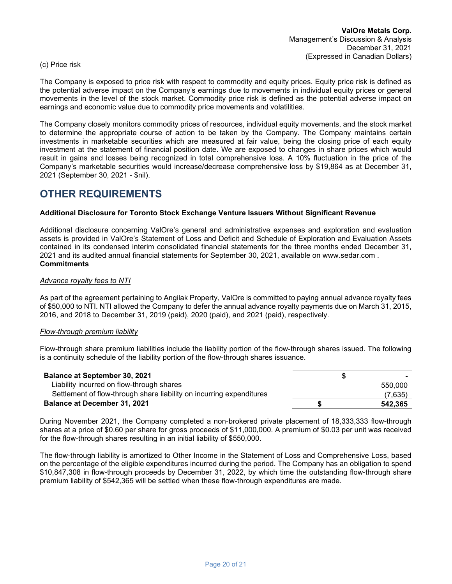#### (c) Price risk

The Company is exposed to price risk with respect to commodity and equity prices. Equity price risk is defined as the potential adverse impact on the Company's earnings due to movements in individual equity prices or general movements in the level of the stock market. Commodity price risk is defined as the potential adverse impact on earnings and economic value due to commodity price movements and volatilities.

The Company closely monitors commodity prices of resources, individual equity movements, and the stock market to determine the appropriate course of action to be taken by the Company. The Company maintains certain investments in marketable securities which are measured at fair value, being the closing price of each equity investment at the statement of financial position date. We are exposed to changes in share prices which would result in gains and losses being recognized in total comprehensive loss. A 10% fluctuation in the price of the Company's marketable securities would increase/decrease comprehensive loss by \$19,864 as at December 31, 2021 (September 30, 2021 - \$nil).

## OTHER REQUIREMENTS

## Additional Disclosure for Toronto Stock Exchange Venture Issuers Without Significant Revenue

Additional disclosure concerning ValOre's general and administrative expenses and exploration and evaluation assets is provided in ValOre's Statement of Loss and Deficit and Schedule of Exploration and Evaluation Assets contained in its condensed interim consolidated financial statements for the three months ended December 31, 2021 and its audited annual financial statements for September 30, 2021, available on www.sedar.com . **Commitments** 

#### Advance royalty fees to NTI

As part of the agreement pertaining to Angilak Property, ValOre is committed to paying annual advance royalty fees of \$50,000 to NTI. NTI allowed the Company to defer the annual advance royalty payments due on March 31, 2015, 2016, and 2018 to December 31, 2019 (paid), 2020 (paid), and 2021 (paid), respectively.

#### Flow-through premium liability

Flow-through share premium liabilities include the liability portion of the flow-through shares issued. The following is a continuity schedule of the liability portion of the flow-through shares issuance.

| <b>Balance at September 30, 2021</b>                                 |         |
|----------------------------------------------------------------------|---------|
| Liability incurred on flow-through shares                            | 550,000 |
| Settlement of flow-through share liability on incurring expenditures | (7,635) |
| <b>Balance at December 31, 2021</b>                                  | 542.365 |

During November 2021, the Company completed a non‐brokered private placement of 18,333,333 flow-through shares at a price of \$0.60 per share for gross proceeds of \$11,000,000. A premium of \$0.03 per unit was received for the flow-through shares resulting in an initial liability of \$550,000.

The flow-through liability is amortized to Other Income in the Statement of Loss and Comprehensive Loss, based on the percentage of the eligible expenditures incurred during the period. The Company has an obligation to spend \$10,847,308 in flow-through proceeds by December 31, 2022, by which time the outstanding flow-through share premium liability of \$542,365 will be settled when these flow-through expenditures are made.